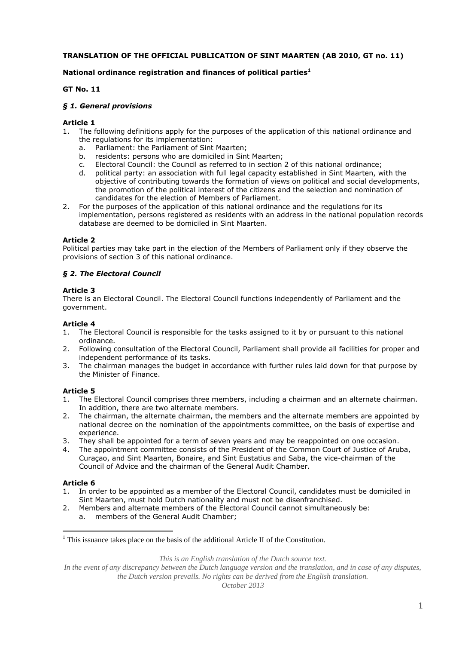## **TRANSLATION OF THE OFFICIAL PUBLICATION OF SINT MAARTEN (AB 2010, GT no. 11)**

## **National ordinance registration and finances of political parties<sup>1</sup>**

#### **GT No. 11**

#### *§ 1. General provisions*

#### **Article 1**

- 1. The following definitions apply for the purposes of the application of this national ordinance and the regulations for its implementation:
	- a. Parliament: the Parliament of Sint Maarten;
	- b. residents: persons who are domiciled in Sint Maarten;
	- c. Electoral Council: the Council as referred to in section 2 of this national ordinance;
	- d. political party: an association with full legal capacity established in Sint Maarten, with the objective of contributing towards the formation of views on political and social developments, the promotion of the political interest of the citizens and the selection and nomination of candidates for the election of Members of Parliament.
- 2. For the purposes of the application of this national ordinance and the regulations for its implementation, persons registered as residents with an address in the national population records database are deemed to be domiciled in Sint Maarten.

#### **Article 2**

Political parties may take part in the election of the Members of Parliament only if they observe the provisions of section 3 of this national ordinance.

#### *§ 2. The Electoral Council*

#### **Article 3**

There is an Electoral Council. The Electoral Council functions independently of Parliament and the government.

#### **Article 4**

- 1. The Electoral Council is responsible for the tasks assigned to it by or pursuant to this national ordinance.
- 2. Following consultation of the Electoral Council, Parliament shall provide all facilities for proper and independent performance of its tasks.
- 3. The chairman manages the budget in accordance with further rules laid down for that purpose by the Minister of Finance.

#### **Article 5**

- 1. The Electoral Council comprises three members, including a chairman and an alternate chairman. In addition, there are two alternate members.
- 2. The chairman, the alternate chairman, the members and the alternate members are appointed by national decree on the nomination of the appointments committee, on the basis of expertise and experience.
- 3. They shall be appointed for a term of seven years and may be reappointed on one occasion.
- The appointment committee consists of the President of the Common Court of Justice of Aruba, Curaçao, and Sint Maarten, Bonaire, and Sint Eustatius and Saba, the vice-chairman of the Council of Advice and the chairman of the General Audit Chamber.

#### **Article 6**

 $\overline{a}$ 

- 1. In order to be appointed as a member of the Electoral Council, candidates must be domiciled in Sint Maarten, must hold Dutch nationality and must not be disenfranchised.
- 2. Members and alternate members of the Electoral Council cannot simultaneously be:
	- a. members of the General Audit Chamber;

*This is an English translation of the Dutch source text.*

In the event of any discrepancy between the Dutch language version and the translation, and in case of any disputes, *the Dutch version prevails. No rights can be derived from the English translation.*

 $<sup>1</sup>$  This issuance takes place on the basis of the additional Article II of the Constitution.</sup>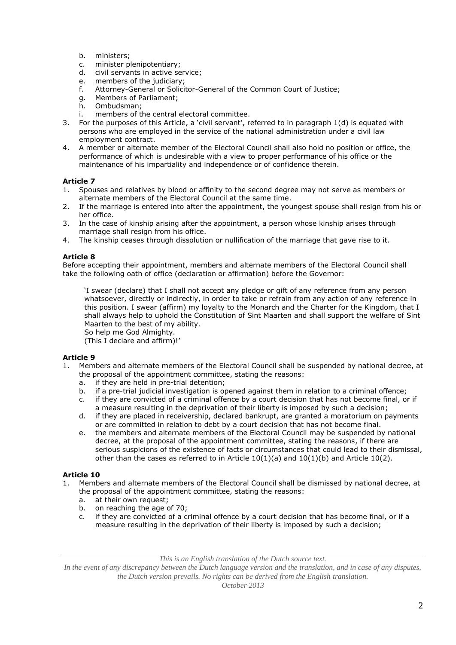- b. ministers;
- c. minister plenipotentiary;<br>d. civil servants in active se
- civil servants in active service:
- e. members of the judiciary;<br>f. Attorney-General or Solici
- Attorney-General or Solicitor-General of the Common Court of Justice;
- g. Members of Parliament;<br>h. Ombudsman:
- Ombudsman;
- i. members of the central electoral committee.
- 3. For the purposes of this Article, a 'civil servant', referred to in paragraph 1(d) is equated with persons who are employed in the service of the national administration under a civil law employment contract.
- 4. A member or alternate member of the Electoral Council shall also hold no position or office, the performance of which is undesirable with a view to proper performance of his office or the maintenance of his impartiality and independence or of confidence therein.

- 1. Spouses and relatives by blood or affinity to the second degree may not serve as members or alternate members of the Electoral Council at the same time.
- 2. If the marriage is entered into after the appointment, the youngest spouse shall resign from his or her office.
- 3. In the case of kinship arising after the appointment, a person whose kinship arises through marriage shall resign from his office.
- 4. The kinship ceases through dissolution or nullification of the marriage that gave rise to it.

## **Article 8**

Before accepting their appointment, members and alternate members of the Electoral Council shall take the following oath of office (declaration or affirmation) before the Governor:

'I swear (declare) that I shall not accept any pledge or gift of any reference from any person whatsoever, directly or indirectly, in order to take or refrain from any action of any reference in this position. I swear (affirm) my loyalty to the Monarch and the Charter for the Kingdom, that I shall always help to uphold the Constitution of Sint Maarten and shall support the welfare of Sint Maarten to the best of my ability.

So help me God Almighty.

(This I declare and affirm)!'

## **Article 9**

- 1. Members and alternate members of the Electoral Council shall be suspended by national decree, at the proposal of the appointment committee, stating the reasons:
	- a. if they are held in pre-trial detention;
	- b. if a pre-trial judicial investigation is opened against them in relation to a criminal offence;
	- c. if they are convicted of a criminal offence by a court decision that has not become final, or if a measure resulting in the deprivation of their liberty is imposed by such a decision;
	- d. if they are placed in receivership, declared bankrupt, are granted a moratorium on payments or are committed in relation to debt by a court decision that has not become final.
	- e. the members and alternate members of the Electoral Council may be suspended by national decree, at the proposal of the appointment committee, stating the reasons, if there are serious suspicions of the existence of facts or circumstances that could lead to their dismissal, other than the cases as referred to in Article  $10(1)(a)$  and  $10(1)(b)$  and Article 10(2).

## **Article 10**

- 1. Members and alternate members of the Electoral Council shall be dismissed by national decree, at the proposal of the appointment committee, stating the reasons:
	-
	- a. at their own request;<br>b. on reaching the age of on reaching the age of 70;
	- c. if they are convicted of a criminal offence by a court decision that has become final, or if a measure resulting in the deprivation of their liberty is imposed by such a decision;

*This is an English translation of the Dutch source text.*

In the event of any discrepancy between the Dutch language version and the translation, and in case of any disputes, *the Dutch version prevails. No rights can be derived from the English translation.*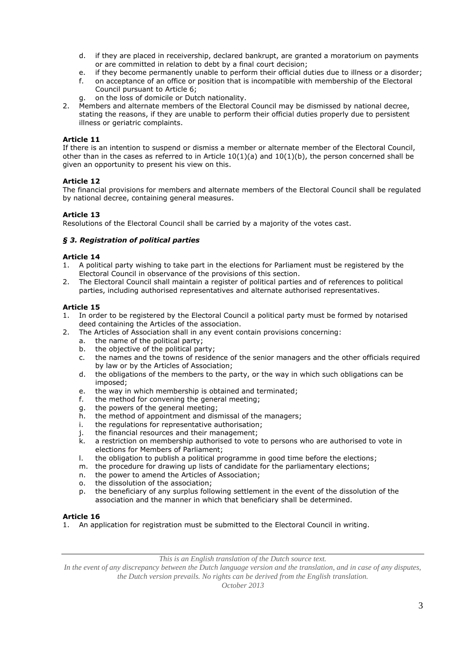- d. if they are placed in receivership, declared bankrupt, are granted a moratorium on payments or are committed in relation to debt by a final court decision;
- e. if they become permanently unable to perform their official duties due to illness or a disorder;
- f. on acceptance of an office or position that is incompatible with membership of the Electoral Council pursuant to Article 6;
- g. on the loss of domicile or Dutch nationality.
- 2. Members and alternate members of the Electoral Council may be dismissed by national decree, stating the reasons, if they are unable to perform their official duties properly due to persistent illness or geriatric complaints.

If there is an intention to suspend or dismiss a member or alternate member of the Electoral Council, other than in the cases as referred to in Article  $10(1)(a)$  and  $10(1)(b)$ , the person concerned shall be given an opportunity to present his view on this.

# **Article 12**

The financial provisions for members and alternate members of the Electoral Council shall be regulated by national decree, containing general measures.

# **Article 13**

Resolutions of the Electoral Council shall be carried by a majority of the votes cast.

# *§ 3. Registration of political parties*

## **Article 14**

- 1. A political party wishing to take part in the elections for Parliament must be registered by the Electoral Council in observance of the provisions of this section.
- 2. The Electoral Council shall maintain a register of political parties and of references to political parties, including authorised representatives and alternate authorised representatives.

# **Article 15**

- 1. In order to be registered by the Electoral Council a political party must be formed by notarised deed containing the Articles of the association.
- 2. The Articles of Association shall in any event contain provisions concerning:
	- a. the name of the political party;<br>b. the objective of the political pai
	- the objective of the political party;
	- c. the names and the towns of residence of the senior managers and the other officials required by law or by the Articles of Association;
	- d. the obligations of the members to the party, or the way in which such obligations can be imposed;
	- e. the way in which membership is obtained and terminated;
	- f. the method for convening the general meeting;
	- g. the powers of the general meeting;
	- h. the method of appointment and dismissal of the managers;
	- i. the regulations for representative authorisation;
	- j. the financial resources and their management;
	- k. a restriction on membership authorised to vote to persons who are authorised to vote in elections for Members of Parliament;
	- l. the obligation to publish a political programme in good time before the elections;
	- m. the procedure for drawing up lists of candidate for the parliamentary elections;
	- n. the power to amend the Articles of Association;
	- o. the dissolution of the association;
	- p. the beneficiary of any surplus following settlement in the event of the dissolution of the association and the manner in which that beneficiary shall be determined.

## **Article 16**

1. An application for registration must be submitted to the Electoral Council in writing.

*This is an English translation of the Dutch source text.*

In the event of any discrepancy between the Dutch language version and the translation, and in case of any disputes, *the Dutch version prevails. No rights can be derived from the English translation.*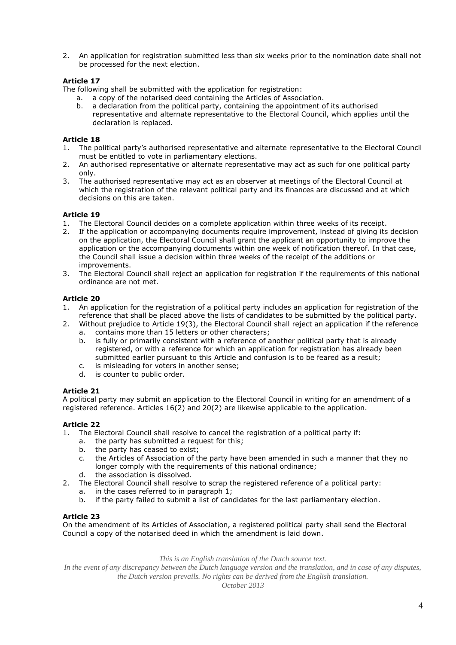2. An application for registration submitted less than six weeks prior to the nomination date shall not be processed for the next election.

## **Article 17**

The following shall be submitted with the application for registration:

- a. a copy of the notarised deed containing the Articles of Association.
- b. a declaration from the political party, containing the appointment of its authorised representative and alternate representative to the Electoral Council, which applies until the declaration is replaced.

## **Article 18**

- 1. The political party's authorised representative and alternate representative to the Electoral Council must be entitled to vote in parliamentary elections.
- 2. An authorised representative or alternate representative may act as such for one political party only.
- 3. The authorised representative may act as an observer at meetings of the Electoral Council at which the registration of the relevant political party and its finances are discussed and at which decisions on this are taken.

# **Article 19**

- 1. The Electoral Council decides on a complete application within three weeks of its receipt.
- 2. If the application or accompanying documents require improvement, instead of giving its decision on the application, the Electoral Council shall grant the applicant an opportunity to improve the application or the accompanying documents within one week of notification thereof. In that case, the Council shall issue a decision within three weeks of the receipt of the additions or improvements.
- 3. The Electoral Council shall reject an application for registration if the requirements of this national ordinance are not met.

## **Article 20**

- 1. An application for the registration of a political party includes an application for registration of the reference that shall be placed above the lists of candidates to be submitted by the political party.
- 2. Without prejudice to Article 19(3), the Electoral Council shall reject an application if the reference a. contains more than 15 letters or other characters;
	- b. is fully or primarily consistent with a reference of another political party that is already registered, or with a reference for which an application for registration has already been submitted earlier pursuant to this Article and confusion is to be feared as a result;
	- c. is misleading for voters in another sense;
	- d. is counter to public order.

## **Article 21**

A political party may submit an application to the Electoral Council in writing for an amendment of a registered reference. Articles 16(2) and 20(2) are likewise applicable to the application.

# **Article 22**

- 1. The Electoral Council shall resolve to cancel the registration of a political party if:
	- a. the party has submitted a request for this;
	- b. the party has ceased to exist;
	- c. the Articles of Association of the party have been amended in such a manner that they no longer comply with the requirements of this national ordinance;
	- d. the association is dissolved.
- 2. The Electoral Council shall resolve to scrap the registered reference of a political party:
	- a. in the cases referred to in paragraph 1;
	- b. if the party failed to submit a list of candidates for the last parliamentary election.

## **Article 23**

On the amendment of its Articles of Association, a registered political party shall send the Electoral Council a copy of the notarised deed in which the amendment is laid down.

*This is an English translation of the Dutch source text.*

*In the event of any discrepancy between the Dutch language version and the translation, and in case of any disputes, the Dutch version prevails. No rights can be derived from the English translation.*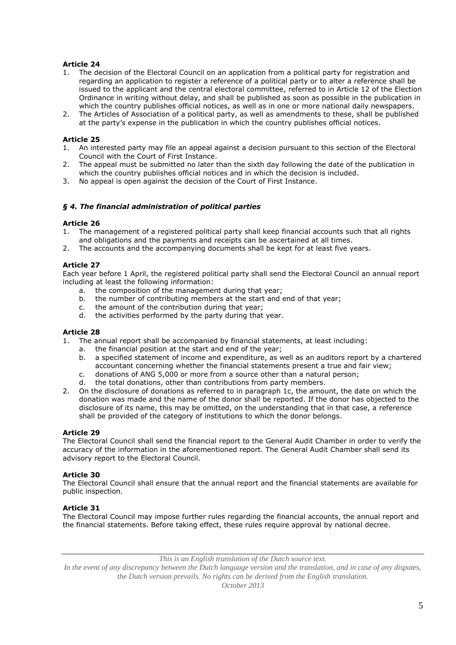- 1. The decision of the Electoral Council on an application from a political party for registration and regarding an application to register a reference of a political party or to alter a reference shall be issued to the applicant and the central electoral committee, referred to in Article 12 of the Election Ordinance in writing without delay, and shall be published as soon as possible in the publication in which the country publishes official notices, as well as in one or more national daily newspapers.
- 2. The Articles of Association of a political party, as well as amendments to these, shall be published at the party's expense in the publication in which the country publishes official notices.

## **Article 25**

- 1. An interested party may file an appeal against a decision pursuant to this section of the Electoral Council with the Court of First Instance.
- 2. The appeal must be submitted no later than the sixth day following the date of the publication in which the country publishes official notices and in which the decision is included.
- 3. No appeal is open against the decision of the Court of First Instance.

#### *§ 4. The financial administration of political parties*

#### **Article 26**

- 1. The management of a registered political party shall keep financial accounts such that all rights and obligations and the payments and receipts can be ascertained at all times.
- 2. The accounts and the accompanying documents shall be kept for at least five years.

#### **Article 27**

Each year before 1 April, the registered political party shall send the Electoral Council an annual report including at least the following information:

- a. the composition of the management during that year;
- b. the number of contributing members at the start and end of that year;
- c. the amount of the contribution during that year;
- d. the activities performed by the party during that year.

#### **Article 28**

- 1. The annual report shall be accompanied by financial statements, at least including:
	- a. the financial position at the start and end of the year;
	- b. a specified statement of income and expenditure, as well as an auditors report by a chartered accountant concerning whether the financial statements present a true and fair view;
	- c. donations of ANG 5,000 or more from a source other than a natural person;
	- d. the total donations, other than contributions from party members.
- 2. On the disclosure of donations as referred to in paragraph 1c, the amount, the date on which the donation was made and the name of the donor shall be reported. If the donor has objected to the disclosure of its name, this may be omitted, on the understanding that in that case, a reference shall be provided of the category of institutions to which the donor belongs.

#### **Article 29**

The Electoral Council shall send the financial report to the General Audit Chamber in order to verify the accuracy of the information in the aforementioned report. The General Audit Chamber shall send its advisory report to the Electoral Council.

#### **Article 30**

The Electoral Council shall ensure that the annual report and the financial statements are available for public inspection.

#### **Article 31**

The Electoral Council may impose further rules regarding the financial accounts, the annual report and the financial statements. Before taking effect, these rules require approval by national decree.

*This is an English translation of the Dutch source text.*

*In the event of any discrepancy between the Dutch language version and the translation, and in case of any disputes, the Dutch version prevails. No rights can be derived from the English translation.*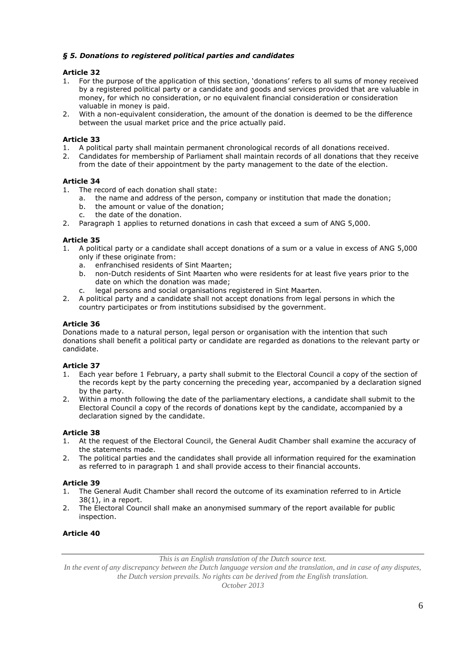## *§ 5. Donations to registered political parties and candidates*

# **Article 32**

- 1. For the purpose of the application of this section, 'donations' refers to all sums of money received by a registered political party or a candidate and goods and services provided that are valuable in money, for which no consideration, or no equivalent financial consideration or consideration valuable in money is paid.
- 2. With a non-equivalent consideration, the amount of the donation is deemed to be the difference between the usual market price and the price actually paid.

# **Article 33**

- 1. A political party shall maintain permanent chronological records of all donations received.
- 2. Candidates for membership of Parliament shall maintain records of all donations that they receive from the date of their appointment by the party management to the date of the election.

# **Article 34**

- 1. The record of each donation shall state:
	- a. the name and address of the person, company or institution that made the donation;
	- b. the amount or value of the donation;
	- c. the date of the donation.
- 2. Paragraph 1 applies to returned donations in cash that exceed a sum of ANG 5,000.

# **Article 35**

- 1. A political party or a candidate shall accept donations of a sum or a value in excess of ANG 5,000 only if these originate from:
	- a. enfranchised residents of Sint Maarten;
	- b. non-Dutch residents of Sint Maarten who were residents for at least five years prior to the date on which the donation was made;
	- c. legal persons and social organisations registered in Sint Maarten.
- 2. A political party and a candidate shall not accept donations from legal persons in which the country participates or from institutions subsidised by the government.

## **Article 36**

Donations made to a natural person, legal person or organisation with the intention that such donations shall benefit a political party or candidate are regarded as donations to the relevant party or candidate.

## **Article 37**

- 1. Each year before 1 February, a party shall submit to the Electoral Council a copy of the section of the records kept by the party concerning the preceding year, accompanied by a declaration signed by the party.
- 2. Within a month following the date of the parliamentary elections, a candidate shall submit to the Electoral Council a copy of the records of donations kept by the candidate, accompanied by a declaration signed by the candidate.

## **Article 38**

- 1. At the request of the Electoral Council, the General Audit Chamber shall examine the accuracy of the statements made.
- 2. The political parties and the candidates shall provide all information required for the examination as referred to in paragraph 1 and shall provide access to their financial accounts.

## **Article 39**

- 1. The General Audit Chamber shall record the outcome of its examination referred to in Article 38(1), in a report.
- 2. The Electoral Council shall make an anonymised summary of the report available for public inspection.

## **Article 40**

*This is an English translation of the Dutch source text.*

In the event of any discrepancy between the Dutch language version and the translation, and in case of any disputes, *the Dutch version prevails. No rights can be derived from the English translation.*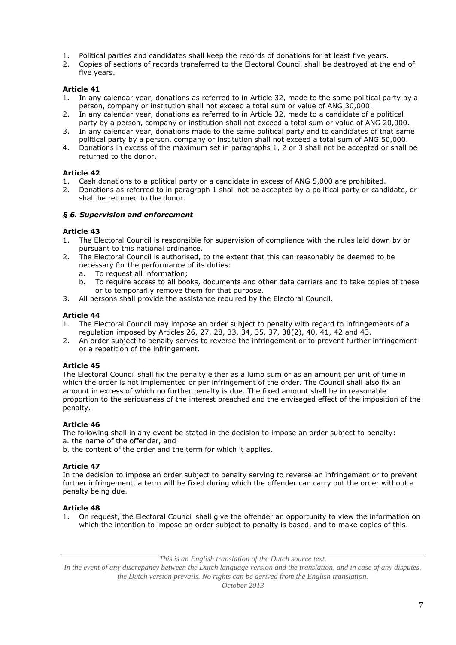- 1. Political parties and candidates shall keep the records of donations for at least five years.
- 2. Copies of sections of records transferred to the Electoral Council shall be destroyed at the end of five years.

- 1. In any calendar year, donations as referred to in Article 32, made to the same political party by a person, company or institution shall not exceed a total sum or value of ANG 30,000.
- 2. In any calendar year, donations as referred to in Article 32, made to a candidate of a political party by a person, company or institution shall not exceed a total sum or value of ANG 20,000.
- 3. In any calendar year, donations made to the same political party and to candidates of that same political party by a person, company or institution shall not exceed a total sum of ANG 50,000.
- 4. Donations in excess of the maximum set in paragraphs 1, 2 or 3 shall not be accepted or shall be returned to the donor.

# **Article 42**

- 1. Cash donations to a political party or a candidate in excess of ANG 5,000 are prohibited.<br>2. Donations as referred to in paragraph 1 shall not be accepted by a political party or cand
- 2. Donations as referred to in paragraph 1 shall not be accepted by a political party or candidate, or shall be returned to the donor.

# *§ 6. Supervision and enforcement*

## **Article 43**

- 1. The Electoral Council is responsible for supervision of compliance with the rules laid down by or pursuant to this national ordinance.
- 2. The Electoral Council is authorised, to the extent that this can reasonably be deemed to be necessary for the performance of its duties:
	- a. To request all information;
	- b. To require access to all books, documents and other data carriers and to take copies of these or to temporarily remove them for that purpose.
- 3. All persons shall provide the assistance required by the Electoral Council.

# **Article 44**

- 1. The Electoral Council may impose an order subject to penalty with regard to infringements of a regulation imposed by Articles 26, 27, 28, 33, 34, 35, 37, 38(2), 40, 41, 42 and 43.
- 2. An order subject to penalty serves to reverse the infringement or to prevent further infringement or a repetition of the infringement.

## **Article 45**

The Electoral Council shall fix the penalty either as a lump sum or as an amount per unit of time in which the order is not implemented or per infringement of the order. The Council shall also fix an amount in excess of which no further penalty is due. The fixed amount shall be in reasonable proportion to the seriousness of the interest breached and the envisaged effect of the imposition of the penalty.

# **Article 46**

The following shall in any event be stated in the decision to impose an order subject to penalty: a. the name of the offender, and

b. the content of the order and the term for which it applies.

# **Article 47**

In the decision to impose an order subject to penalty serving to reverse an infringement or to prevent further infringement, a term will be fixed during which the offender can carry out the order without a penalty being due.

# **Article 48**

1. On request, the Electoral Council shall give the offender an opportunity to view the information on which the intention to impose an order subject to penalty is based, and to make copies of this.

*This is an English translation of the Dutch source text.*

*In the event of any discrepancy between the Dutch language version and the translation, and in case of any disputes, the Dutch version prevails. No rights can be derived from the English translation.*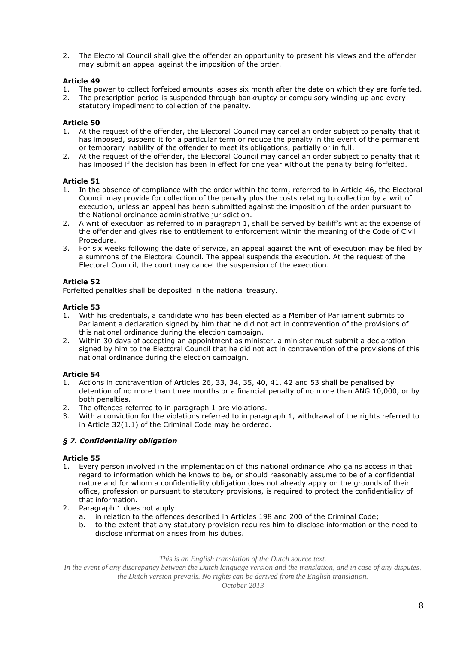2. The Electoral Council shall give the offender an opportunity to present his views and the offender may submit an appeal against the imposition of the order.

## **Article 49**

- 1. The power to collect forfeited amounts lapses six month after the date on which they are forfeited.<br>2. The prescription period is suspended through bankruptcy or compulsory winding up and every
- The prescription period is suspended through bankruptcy or compulsory winding up and every statutory impediment to collection of the penalty.

## **Article 50**

- 1. At the request of the offender, the Electoral Council may cancel an order subject to penalty that it has imposed, suspend it for a particular term or reduce the penalty in the event of the permanent or temporary inability of the offender to meet its obligations, partially or in full.
- 2. At the request of the offender, the Electoral Council may cancel an order subject to penalty that it has imposed if the decision has been in effect for one year without the penalty being forfeited.

# **Article 51**

- 1. In the absence of compliance with the order within the term, referred to in Article 46, the Electoral Council may provide for collection of the penalty plus the costs relating to collection by a writ of execution, unless an appeal has been submitted against the imposition of the order pursuant to the National ordinance administrative jurisdiction.
- 2. A writ of execution as referred to in paragraph 1, shall be served by bailiff's writ at the expense of the offender and gives rise to entitlement to enforcement within the meaning of the Code of Civil Procedure.
- 3. For six weeks following the date of service, an appeal against the writ of execution may be filed by a summons of the Electoral Council. The appeal suspends the execution. At the request of the Electoral Council, the court may cancel the suspension of the execution.

# **Article 52**

Forfeited penalties shall be deposited in the national treasury.

# **Article 53**

- 1. With his credentials, a candidate who has been elected as a Member of Parliament submits to Parliament a declaration signed by him that he did not act in contravention of the provisions of this national ordinance during the election campaign.
- 2. Within 30 days of accepting an appointment as minister, a minister must submit a declaration signed by him to the Electoral Council that he did not act in contravention of the provisions of this national ordinance during the election campaign.

# **Article 54**

- 1. Actions in contravention of Articles 26, 33, 34, 35, 40, 41, 42 and 53 shall be penalised by detention of no more than three months or a financial penalty of no more than ANG 10,000, or by both penalties.
- 2. The offences referred to in paragraph 1 are violations.
- 3. With a conviction for the violations referred to in paragraph 1, withdrawal of the rights referred to in Article 32(1.1) of the Criminal Code may be ordered.

# *§ 7. Confidentiality obligation*

## **Article 55**

- 1. Every person involved in the implementation of this national ordinance who gains access in that regard to information which he knows to be, or should reasonably assume to be of a confidential nature and for whom a confidentiality obligation does not already apply on the grounds of their office, profession or pursuant to statutory provisions, is required to protect the confidentiality of that information.
- 2. Paragraph 1 does not apply:
	- a. in relation to the offences described in Articles 198 and 200 of the Criminal Code;
	- b. to the extent that any statutory provision requires him to disclose information or the need to disclose information arises from his duties.

*This is an English translation of the Dutch source text.*

In the event of any discrepancy between the Dutch language version and the translation, and in case of any disputes, *the Dutch version prevails. No rights can be derived from the English translation.*